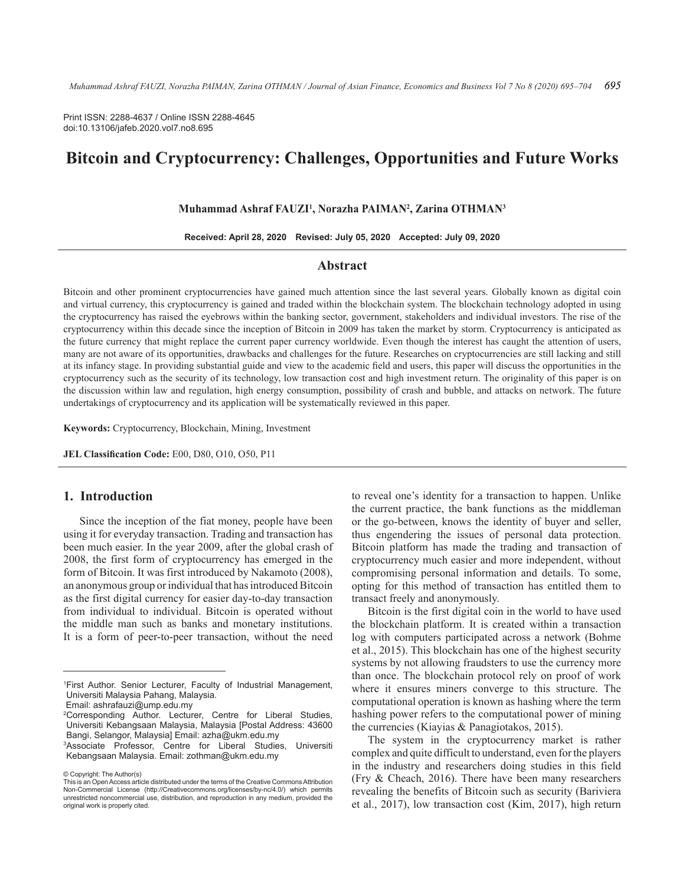Print ISSN: 2288-4637 / Online ISSN 2288-4645 doi:10.13106/jafeb.2020.vol7.no8.695

# **Bitcoin and Cryptocurrency: Challenges, Opportunities and Future Works**

#### **Muhammad Ashraf FAUZI1 , Norazha PAIMAN2 , Zarina OTHMAN3**

**Received: April 28, 2020 Revised: July 05, 2020 Accepted: July 09, 2020**

## **Abstract**

Bitcoin and other prominent cryptocurrencies have gained much attention since the last several years. Globally known as digital coin and virtual currency, this cryptocurrency is gained and traded within the blockchain system. The blockchain technology adopted in using the cryptocurrency has raised the eyebrows within the banking sector, government, stakeholders and individual investors. The rise of the cryptocurrency within this decade since the inception of Bitcoin in 2009 has taken the market by storm. Cryptocurrency is anticipated as the future currency that might replace the current paper currency worldwide. Even though the interest has caught the attention of users, many are not aware of its opportunities, drawbacks and challenges for the future. Researches on cryptocurrencies are still lacking and still at its infancy stage. In providing substantial guide and view to the academic field and users, this paper will discuss the opportunities in the cryptocurrency such as the security of its technology, low transaction cost and high investment return. The originality of this paper is on the discussion within law and regulation, high energy consumption, possibility of crash and bubble, and attacks on network. The future undertakings of cryptocurrency and its application will be systematically reviewed in this paper.

**Keywords:** Cryptocurrency, Blockchain, Mining, Investment

**JEL Classification Code:** E00, D80, O10, O50, P11

# **1. Introduction**

Since the inception of the fiat money, people have been using it for everyday transaction. Trading and transaction has been much easier. In the year 2009, after the global crash of 2008, the first form of cryptocurrency has emerged in the form of Bitcoin. It was first introduced by Nakamoto (2008), an anonymous group or individual that has introduced Bitcoin as the first digital currency for easier day-to-day transaction from individual to individual. Bitcoin is operated without the middle man such as banks and monetary institutions. It is a form of peer-to-peer transaction, without the need

© Copyright: The Author(s)

to reveal one's identity for a transaction to happen. Unlike the current practice, the bank functions as the middleman or the go-between, knows the identity of buyer and seller, thus engendering the issues of personal data protection. Bitcoin platform has made the trading and transaction of cryptocurrency much easier and more independent, without compromising personal information and details. To some, opting for this method of transaction has entitled them to transact freely and anonymously.

Bitcoin is the first digital coin in the world to have used the blockchain platform. It is created within a transaction log with computers participated across a network (Bohme et al., 2015). This blockchain has one of the highest security systems by not allowing fraudsters to use the currency more than once. The blockchain protocol rely on proof of work where it ensures miners converge to this structure. The computational operation is known as hashing where the term hashing power refers to the computational power of mining the currencies (Kiayias & Panagiotakos, 2015).

The system in the cryptocurrency market is rather complex and quite difficult to understand, even for the players in the industry and researchers doing studies in this field (Fry & Cheach, 2016). There have been many researchers revealing the benefits of Bitcoin such as security (Bariviera et al., 2017), low transaction cost (Kim, 2017), high return

<sup>1</sup> First Author. Senior Lecturer, Faculty of Industrial Management, Universiti Malaysia Pahang, Malaysia.

Email: ashrafauzi@ump.edu.my

<sup>2</sup> Corresponding Author. Lecturer, Centre for Liberal Studies, Universiti Kebangsaan Malaysia, Malaysia [Postal Address: 43600 Bangi, Selangor, Malaysia] Email: azha@ukm.edu.my

<sup>3</sup> Associate Professor, Centre for Liberal Studies, Universiti Kebangsaan Malaysia. Email: zothman@ukm.edu.my

This is an Open Access article distributed under the terms of the Creative Commons Attribution Non-Commercial License (http://Creativecommons.org/licenses/by-nc/4.0/) which permits unrestricted noncommercial use, distribution, and reproduction in any medium, provided the original work is properly cited.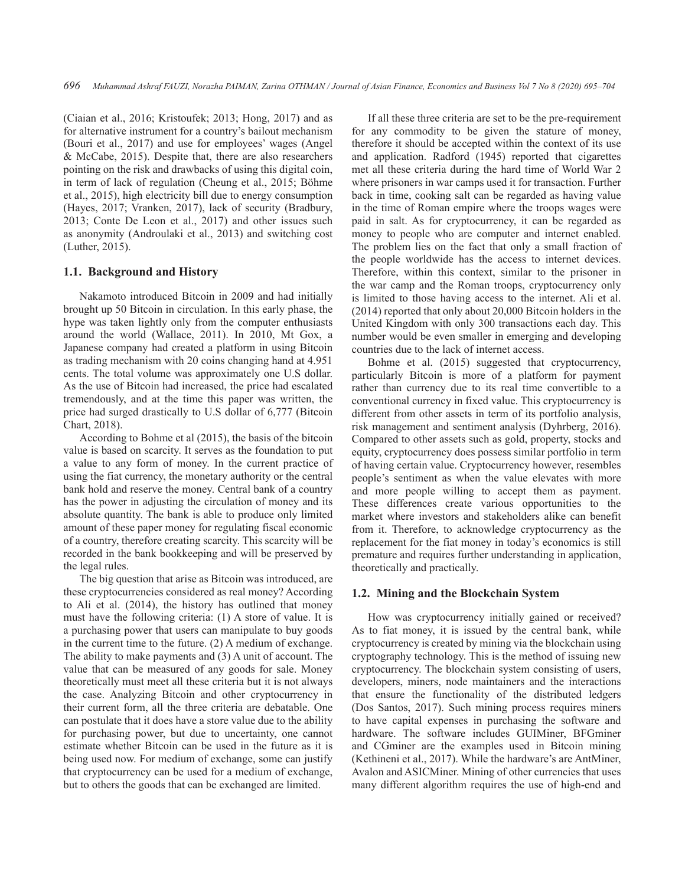(Ciaian et al., 2016; Kristoufek; 2013; Hong, 2017) and as for alternative instrument for a country's bailout mechanism (Bouri et al., 2017) and use for employees' wages (Angel & McCabe, 2015). Despite that, there are also researchers pointing on the risk and drawbacks of using this digital coin, in term of lack of regulation (Cheung et al., 2015; Böhme et al., 2015), high electricity bill due to energy consumption (Hayes, 2017; Vranken, 2017), lack of security (Bradbury, 2013; Conte De Leon et al., 2017) and other issues such as anonymity (Androulaki et al., 2013) and switching cost (Luther, 2015).

#### **1.1. Background and History**

Nakamoto introduced Bitcoin in 2009 and had initially brought up 50 Bitcoin in circulation. In this early phase, the hype was taken lightly only from the computer enthusiasts around the world (Wallace, 2011). In 2010, Mt Gox, a Japanese company had created a platform in using Bitcoin as trading mechanism with 20 coins changing hand at 4.951 cents. The total volume was approximately one U.S dollar. As the use of Bitcoin had increased, the price had escalated tremendously, and at the time this paper was written, the price had surged drastically to U.S dollar of 6,777 (Bitcoin Chart, 2018).

According to Bohme et al (2015), the basis of the bitcoin value is based on scarcity. It serves as the foundation to put a value to any form of money. In the current practice of using the fiat currency, the monetary authority or the central bank hold and reserve the money. Central bank of a country has the power in adjusting the circulation of money and its absolute quantity. The bank is able to produce only limited amount of these paper money for regulating fiscal economic of a country, therefore creating scarcity. This scarcity will be recorded in the bank bookkeeping and will be preserved by the legal rules.

The big question that arise as Bitcoin was introduced, are these cryptocurrencies considered as real money? According to Ali et al. (2014), the history has outlined that money must have the following criteria: (1) A store of value. It is a purchasing power that users can manipulate to buy goods in the current time to the future. (2) A medium of exchange. The ability to make payments and (3) A unit of account. The value that can be measured of any goods for sale. Money theoretically must meet all these criteria but it is not always the case. Analyzing Bitcoin and other cryptocurrency in their current form, all the three criteria are debatable. One can postulate that it does have a store value due to the ability for purchasing power, but due to uncertainty, one cannot estimate whether Bitcoin can be used in the future as it is being used now. For medium of exchange, some can justify that cryptocurrency can be used for a medium of exchange, but to others the goods that can be exchanged are limited.

If all these three criteria are set to be the pre-requirement for any commodity to be given the stature of money, therefore it should be accepted within the context of its use and application. Radford (1945) reported that cigarettes met all these criteria during the hard time of World War 2 where prisoners in war camps used it for transaction. Further back in time, cooking salt can be regarded as having value in the time of Roman empire where the troops wages were paid in salt. As for cryptocurrency, it can be regarded as money to people who are computer and internet enabled. The problem lies on the fact that only a small fraction of the people worldwide has the access to internet devices. Therefore, within this context, similar to the prisoner in the war camp and the Roman troops, cryptocurrency only is limited to those having access to the internet. Ali et al. (2014) reported that only about 20,000 Bitcoin holders in the United Kingdom with only 300 transactions each day. This number would be even smaller in emerging and developing countries due to the lack of internet access.

Bohme et al. (2015) suggested that cryptocurrency, particularly Bitcoin is more of a platform for payment rather than currency due to its real time convertible to a conventional currency in fixed value. This cryptocurrency is different from other assets in term of its portfolio analysis, risk management and sentiment analysis (Dyhrberg, 2016). Compared to other assets such as gold, property, stocks and equity, cryptocurrency does possess similar portfolio in term of having certain value. Cryptocurrency however, resembles people's sentiment as when the value elevates with more and more people willing to accept them as payment. These differences create various opportunities to the market where investors and stakeholders alike can benefit from it. Therefore, to acknowledge cryptocurrency as the replacement for the fiat money in today's economics is still premature and requires further understanding in application, theoretically and practically.

#### **1.2. Mining and the Blockchain System**

How was cryptocurrency initially gained or received? As to fiat money, it is issued by the central bank, while cryptocurrency is created by mining via the blockchain using cryptography technology. This is the method of issuing new cryptocurrency. The blockchain system consisting of users, developers, miners, node maintainers and the interactions that ensure the functionality of the distributed ledgers (Dos Santos, 2017). Such mining process requires miners to have capital expenses in purchasing the software and hardware. The software includes GUIMiner, BFGminer and CGminer are the examples used in Bitcoin mining (Kethineni et al., 2017). While the hardware's are AntMiner, Avalon and ASICMiner. Mining of other currencies that uses many different algorithm requires the use of high-end and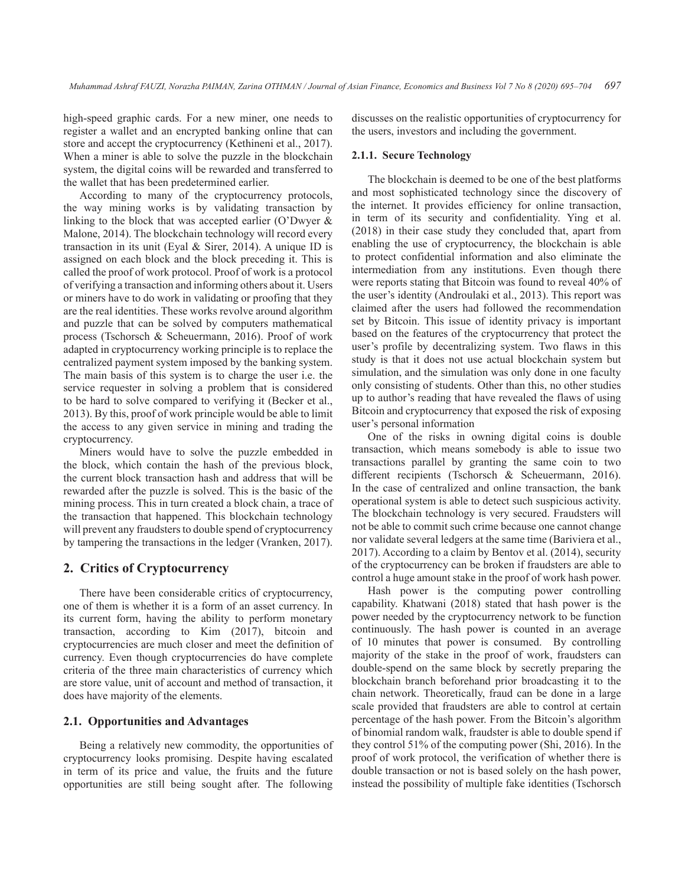high-speed graphic cards. For a new miner, one needs to register a wallet and an encrypted banking online that can store and accept the cryptocurrency (Kethineni et al., 2017). When a miner is able to solve the puzzle in the blockchain system, the digital coins will be rewarded and transferred to the wallet that has been predetermined earlier.

According to many of the cryptocurrency protocols, the way mining works is by validating transaction by linking to the block that was accepted earlier (O'Dwyer & Malone, 2014). The blockchain technology will record every transaction in its unit (Eyal & Sirer, 2014). A unique ID is assigned on each block and the block preceding it. This is called the proof of work protocol. Proof of work is a protocol of verifying a transaction and informing others about it. Users or miners have to do work in validating or proofing that they are the real identities. These works revolve around algorithm and puzzle that can be solved by computers mathematical process (Tschorsch & Scheuermann, 2016). Proof of work adapted in cryptocurrency working principle is to replace the centralized payment system imposed by the banking system. The main basis of this system is to charge the user i.e. the service requester in solving a problem that is considered to be hard to solve compared to verifying it (Becker et al., 2013). By this, proof of work principle would be able to limit the access to any given service in mining and trading the cryptocurrency.

Miners would have to solve the puzzle embedded in the block, which contain the hash of the previous block, the current block transaction hash and address that will be rewarded after the puzzle is solved. This is the basic of the mining process. This in turn created a block chain, a trace of the transaction that happened. This blockchain technology will prevent any fraudsters to double spend of cryptocurrency by tampering the transactions in the ledger (Vranken, 2017).

### **2. Critics of Cryptocurrency**

There have been considerable critics of cryptocurrency, one of them is whether it is a form of an asset currency. In its current form, having the ability to perform monetary transaction, according to Kim (2017), bitcoin and cryptocurrencies are much closer and meet the definition of currency. Even though cryptocurrencies do have complete criteria of the three main characteristics of currency which are store value, unit of account and method of transaction, it does have majority of the elements.

# **2.1. Opportunities and Advantages**

Being a relatively new commodity, the opportunities of cryptocurrency looks promising. Despite having escalated in term of its price and value, the fruits and the future opportunities are still being sought after. The following

discusses on the realistic opportunities of cryptocurrency for the users, investors and including the government.

#### **2.1.1. Secure Technology**

The blockchain is deemed to be one of the best platforms and most sophisticated technology since the discovery of the internet. It provides efficiency for online transaction, in term of its security and confidentiality. Ying et al. (2018) in their case study they concluded that, apart from enabling the use of cryptocurrency, the blockchain is able to protect confidential information and also eliminate the intermediation from any institutions. Even though there were reports stating that Bitcoin was found to reveal 40% of the user's identity (Androulaki et al., 2013). This report was claimed after the users had followed the recommendation set by Bitcoin. This issue of identity privacy is important based on the features of the cryptocurrency that protect the user's profile by decentralizing system. Two flaws in this study is that it does not use actual blockchain system but simulation, and the simulation was only done in one faculty only consisting of students. Other than this, no other studies up to author's reading that have revealed the flaws of using Bitcoin and cryptocurrency that exposed the risk of exposing user's personal information

One of the risks in owning digital coins is double transaction, which means somebody is able to issue two transactions parallel by granting the same coin to two different recipients (Tschorsch & Scheuermann, 2016). In the case of centralized and online transaction, the bank operational system is able to detect such suspicious activity. The blockchain technology is very secured. Fraudsters will not be able to commit such crime because one cannot change nor validate several ledgers at the same time (Bariviera et al., 2017). According to a claim by Bentov et al. (2014), security of the cryptocurrency can be broken if fraudsters are able to control a huge amount stake in the proof of work hash power.

Hash power is the computing power controlling capability. Khatwani (2018) stated that hash power is the power needed by the cryptocurrency network to be function continuously. The hash power is counted in an average of 10 minutes that power is consumed. By controlling majority of the stake in the proof of work, fraudsters can double-spend on the same block by secretly preparing the blockchain branch beforehand prior broadcasting it to the chain network. Theoretically, fraud can be done in a large scale provided that fraudsters are able to control at certain percentage of the hash power. From the Bitcoin's algorithm of binomial random walk, fraudster is able to double spend if they control 51% of the computing power (Shi, 2016). In the proof of work protocol, the verification of whether there is double transaction or not is based solely on the hash power, instead the possibility of multiple fake identities (Tschorsch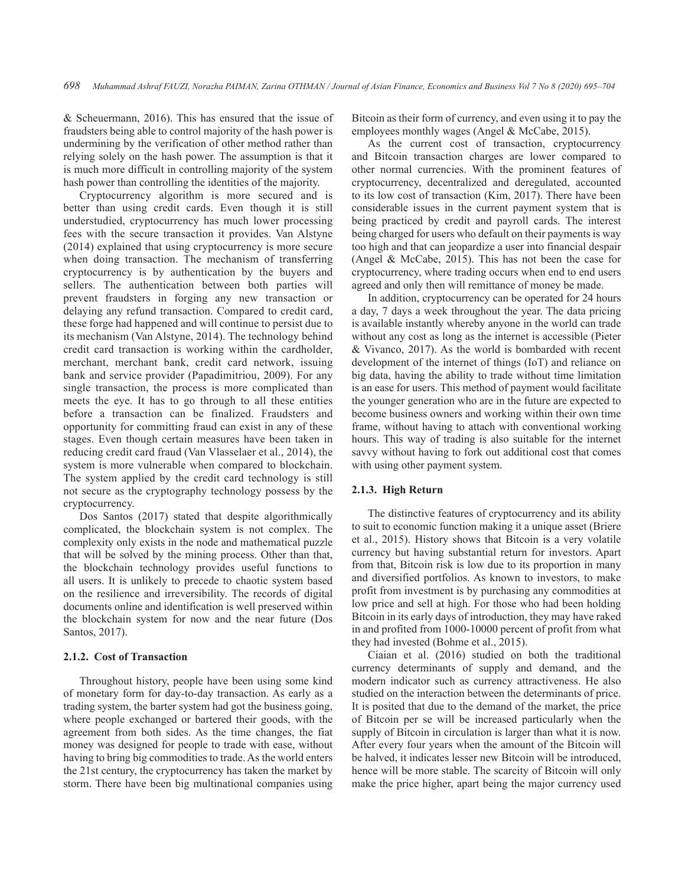& Scheuermann, 2016). This has ensured that the issue of fraudsters being able to control majority of the hash power is undermining by the verification of other method rather than relying solely on the hash power. The assumption is that it is much more difficult in controlling majority of the system hash power than controlling the identities of the majority.

Cryptocurrency algorithm is more secured and is better than using credit cards. Even though it is still understudied, cryptocurrency has much lower processing fees with the secure transaction it provides. Van Alstyne (2014) explained that using cryptocurrency is more secure when doing transaction. The mechanism of transferring cryptocurrency is by authentication by the buyers and sellers. The authentication between both parties will prevent fraudsters in forging any new transaction or delaying any refund transaction. Compared to credit card, these forge had happened and will continue to persist due to its mechanism (Van Alstyne, 2014). The technology behind credit card transaction is working within the cardholder, merchant, merchant bank, credit card network, issuing bank and service provider (Papadimitriou, 2009). For any single transaction, the process is more complicated than meets the eye. It has to go through to all these entities before a transaction can be finalized. Fraudsters and opportunity for committing fraud can exist in any of these stages. Even though certain measures have been taken in reducing credit card fraud (Van Vlasselaer et al., 2014), the system is more vulnerable when compared to blockchain. The system applied by the credit card technology is still not secure as the cryptography technology possess by the cryptocurrency.

Dos Santos (2017) stated that despite algorithmically complicated, the blockchain system is not complex. The complexity only exists in the node and mathematical puzzle that will be solved by the mining process. Other than that, the blockchain technology provides useful functions to all users. It is unlikely to precede to chaotic system based on the resilience and irreversibility. The records of digital documents online and identification is well preserved within the blockchain system for now and the near future (Dos Santos, 2017).

#### **2.1.2. Cost of Transaction**

Throughout history, people have been using some kind of monetary form for day-to-day transaction. As early as a trading system, the barter system had got the business going, where people exchanged or bartered their goods, with the agreement from both sides. As the time changes, the fiat money was designed for people to trade with ease, without having to bring big commodities to trade. As the world enters the 21st century, the cryptocurrency has taken the market by storm. There have been big multinational companies using

Bitcoin as their form of currency, and even using it to pay the employees monthly wages (Angel & McCabe, 2015).

As the current cost of transaction, cryptocurrency and Bitcoin transaction charges are lower compared to other normal currencies. With the prominent features of cryptocurrency, decentralized and deregulated, accounted to its low cost of transaction (Kim, 2017). There have been considerable issues in the current payment system that is being practiced by credit and payroll cards. The interest being charged for users who default on their payments is way too high and that can jeopardize a user into financial despair (Angel & McCabe, 2015). This has not been the case for cryptocurrency, where trading occurs when end to end users agreed and only then will remittance of money be made.

In addition, cryptocurrency can be operated for 24 hours a day, 7 days a week throughout the year. The data pricing is available instantly whereby anyone in the world can trade without any cost as long as the internet is accessible (Pieter & Vivanco, 2017). As the world is bombarded with recent development of the internet of things (IoT) and reliance on big data, having the ability to trade without time limitation is an ease for users. This method of payment would facilitate the younger generation who are in the future are expected to become business owners and working within their own time frame, without having to attach with conventional working hours. This way of trading is also suitable for the internet savvy without having to fork out additional cost that comes with using other payment system.

#### **2.1.3. High Return**

The distinctive features of cryptocurrency and its ability to suit to economic function making it a unique asset (Briere et al., 2015). History shows that Bitcoin is a very volatile currency but having substantial return for investors. Apart from that, Bitcoin risk is low due to its proportion in many and diversified portfolios. As known to investors, to make profit from investment is by purchasing any commodities at low price and sell at high. For those who had been holding Bitcoin in its early days of introduction, they may have raked in and profited from 1000-10000 percent of profit from what they had invested (Bohme et al., 2015).

Ciaian et al. (2016) studied on both the traditional currency determinants of supply and demand, and the modern indicator such as currency attractiveness. He also studied on the interaction between the determinants of price. It is posited that due to the demand of the market, the price of Bitcoin per se will be increased particularly when the supply of Bitcoin in circulation is larger than what it is now. After every four years when the amount of the Bitcoin will be halved, it indicates lesser new Bitcoin will be introduced, hence will be more stable. The scarcity of Bitcoin will only make the price higher, apart being the major currency used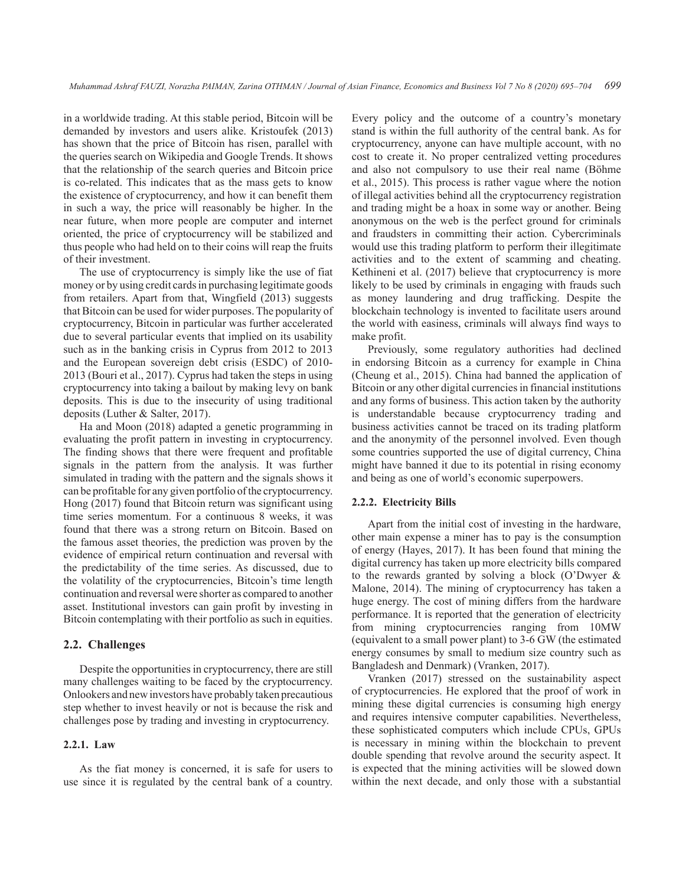in a worldwide trading. At this stable period, Bitcoin will be demanded by investors and users alike. Kristoufek (2013) has shown that the price of Bitcoin has risen, parallel with the queries search on Wikipedia and Google Trends. It shows that the relationship of the search queries and Bitcoin price is co-related. This indicates that as the mass gets to know the existence of cryptocurrency, and how it can benefit them in such a way, the price will reasonably be higher. In the near future, when more people are computer and internet oriented, the price of cryptocurrency will be stabilized and thus people who had held on to their coins will reap the fruits of their investment.

The use of cryptocurrency is simply like the use of fiat money or by using credit cards in purchasing legitimate goods from retailers. Apart from that, Wingfield (2013) suggests that Bitcoin can be used for wider purposes. The popularity of cryptocurrency, Bitcoin in particular was further accelerated due to several particular events that implied on its usability such as in the banking crisis in Cyprus from 2012 to 2013 and the European sovereign debt crisis (ESDC) of 2010- 2013 (Bouri et al., 2017). Cyprus had taken the steps in using cryptocurrency into taking a bailout by making levy on bank deposits. This is due to the insecurity of using traditional deposits (Luther & Salter, 2017).

Ha and Moon (2018) adapted a genetic programming in evaluating the profit pattern in investing in cryptocurrency. The finding shows that there were frequent and profitable signals in the pattern from the analysis. It was further simulated in trading with the pattern and the signals shows it can be profitable for any given portfolio of the cryptocurrency. Hong (2017) found that Bitcoin return was significant using time series momentum. For a continuous 8 weeks, it was found that there was a strong return on Bitcoin. Based on the famous asset theories, the prediction was proven by the evidence of empirical return continuation and reversal with the predictability of the time series. As discussed, due to the volatility of the cryptocurrencies, Bitcoin's time length continuation and reversal were shorter as compared to another asset. Institutional investors can gain profit by investing in Bitcoin contemplating with their portfolio as such in equities.

#### **2.2. Challenges**

Despite the opportunities in cryptocurrency, there are still many challenges waiting to be faced by the cryptocurrency. Onlookers and new investors have probably taken precautious step whether to invest heavily or not is because the risk and challenges pose by trading and investing in cryptocurrency.

#### **2.2.1. Law**

As the fiat money is concerned, it is safe for users to use since it is regulated by the central bank of a country. Every policy and the outcome of a country's monetary stand is within the full authority of the central bank. As for cryptocurrency, anyone can have multiple account, with no cost to create it. No proper centralized vetting procedures and also not compulsory to use their real name (Böhme et al., 2015). This process is rather vague where the notion of illegal activities behind all the cryptocurrency registration and trading might be a hoax in some way or another. Being anonymous on the web is the perfect ground for criminals and fraudsters in committing their action. Cybercriminals would use this trading platform to perform their illegitimate activities and to the extent of scamming and cheating. Kethineni et al. (2017) believe that cryptocurrency is more likely to be used by criminals in engaging with frauds such as money laundering and drug trafficking. Despite the blockchain technology is invented to facilitate users around the world with easiness, criminals will always find ways to make profit.

Previously, some regulatory authorities had declined in endorsing Bitcoin as a currency for example in China (Cheung et al., 2015). China had banned the application of Bitcoin or any other digital currencies in financial institutions and any forms of business. This action taken by the authority is understandable because cryptocurrency trading and business activities cannot be traced on its trading platform and the anonymity of the personnel involved. Even though some countries supported the use of digital currency, China might have banned it due to its potential in rising economy and being as one of world's economic superpowers.

#### **2.2.2. Electricity Bills**

Apart from the initial cost of investing in the hardware, other main expense a miner has to pay is the consumption of energy (Hayes, 2017). It has been found that mining the digital currency has taken up more electricity bills compared to the rewards granted by solving a block (O'Dwyer & Malone, 2014). The mining of cryptocurrency has taken a huge energy. The cost of mining differs from the hardware performance. It is reported that the generation of electricity from mining cryptocurrencies ranging from 10MW (equivalent to a small power plant) to 3-6 GW (the estimated energy consumes by small to medium size country such as Bangladesh and Denmark) (Vranken, 2017).

Vranken (2017) stressed on the sustainability aspect of cryptocurrencies. He explored that the proof of work in mining these digital currencies is consuming high energy and requires intensive computer capabilities. Nevertheless, these sophisticated computers which include CPUs, GPUs is necessary in mining within the blockchain to prevent double spending that revolve around the security aspect. It is expected that the mining activities will be slowed down within the next decade, and only those with a substantial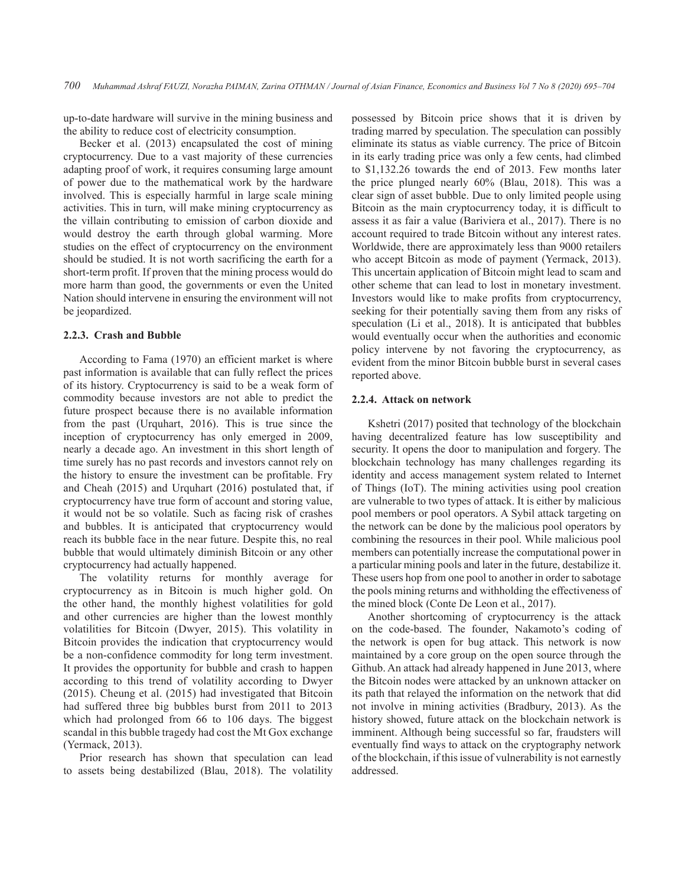up-to-date hardware will survive in the mining business and the ability to reduce cost of electricity consumption.

Becker et al. (2013) encapsulated the cost of mining cryptocurrency. Due to a vast majority of these currencies adapting proof of work, it requires consuming large amount of power due to the mathematical work by the hardware involved. This is especially harmful in large scale mining activities. This in turn, will make mining cryptocurrency as the villain contributing to emission of carbon dioxide and would destroy the earth through global warming. More studies on the effect of cryptocurrency on the environment should be studied. It is not worth sacrificing the earth for a short-term profit. If proven that the mining process would do more harm than good, the governments or even the United Nation should intervene in ensuring the environment will not be jeopardized.

#### **2.2.3. Crash and Bubble**

According to Fama (1970) an efficient market is where past information is available that can fully reflect the prices of its history. Cryptocurrency is said to be a weak form of commodity because investors are not able to predict the future prospect because there is no available information from the past (Urquhart, 2016). This is true since the inception of cryptocurrency has only emerged in 2009, nearly a decade ago. An investment in this short length of time surely has no past records and investors cannot rely on the history to ensure the investment can be profitable. Fry and Cheah (2015) and Urquhart (2016) postulated that, if cryptocurrency have true form of account and storing value, it would not be so volatile. Such as facing risk of crashes and bubbles. It is anticipated that cryptocurrency would reach its bubble face in the near future. Despite this, no real bubble that would ultimately diminish Bitcoin or any other cryptocurrency had actually happened.

The volatility returns for monthly average for cryptocurrency as in Bitcoin is much higher gold. On the other hand, the monthly highest volatilities for gold and other currencies are higher than the lowest monthly volatilities for Bitcoin (Dwyer, 2015). This volatility in Bitcoin provides the indication that cryptocurrency would be a non-confidence commodity for long term investment. It provides the opportunity for bubble and crash to happen according to this trend of volatility according to Dwyer (2015). Cheung et al. (2015) had investigated that Bitcoin had suffered three big bubbles burst from 2011 to 2013 which had prolonged from 66 to 106 days. The biggest scandal in this bubble tragedy had cost the Mt Gox exchange (Yermack, 2013).

Prior research has shown that speculation can lead to assets being destabilized (Blau, 2018). The volatility possessed by Bitcoin price shows that it is driven by trading marred by speculation. The speculation can possibly eliminate its status as viable currency. The price of Bitcoin in its early trading price was only a few cents, had climbed to \$1,132.26 towards the end of 2013. Few months later the price plunged nearly 60% (Blau, 2018). This was a clear sign of asset bubble. Due to only limited people using Bitcoin as the main cryptocurrency today, it is difficult to assess it as fair a value (Bariviera et al., 2017). There is no account required to trade Bitcoin without any interest rates. Worldwide, there are approximately less than 9000 retailers who accept Bitcoin as mode of payment (Yermack, 2013). This uncertain application of Bitcoin might lead to scam and other scheme that can lead to lost in monetary investment. Investors would like to make profits from cryptocurrency, seeking for their potentially saving them from any risks of speculation (Li et al., 2018). It is anticipated that bubbles would eventually occur when the authorities and economic policy intervene by not favoring the cryptocurrency, as evident from the minor Bitcoin bubble burst in several cases reported above.

#### **2.2.4. Attack on network**

Kshetri (2017) posited that technology of the blockchain having decentralized feature has low susceptibility and security. It opens the door to manipulation and forgery. The blockchain technology has many challenges regarding its identity and access management system related to Internet of Things (IoT). The mining activities using pool creation are vulnerable to two types of attack. It is either by malicious pool members or pool operators. A Sybil attack targeting on the network can be done by the malicious pool operators by combining the resources in their pool. While malicious pool members can potentially increase the computational power in a particular mining pools and later in the future, destabilize it. These users hop from one pool to another in order to sabotage the pools mining returns and withholding the effectiveness of the mined block (Conte De Leon et al., 2017).

Another shortcoming of cryptocurrency is the attack on the code-based. The founder, Nakamoto's coding of the network is open for bug attack. This network is now maintained by a core group on the open source through the Github. An attack had already happened in June 2013, where the Bitcoin nodes were attacked by an unknown attacker on its path that relayed the information on the network that did not involve in mining activities (Bradbury, 2013). As the history showed, future attack on the blockchain network is imminent. Although being successful so far, fraudsters will eventually find ways to attack on the cryptography network of the blockchain, if this issue of vulnerability is not earnestly addressed.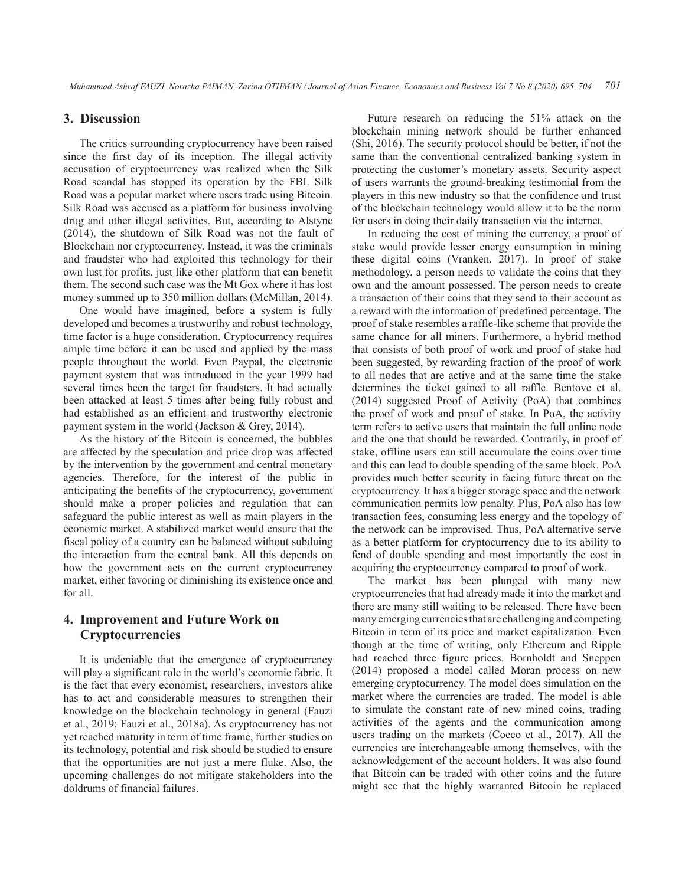# **3. Discussion**

The critics surrounding cryptocurrency have been raised since the first day of its inception. The illegal activity accusation of cryptocurrency was realized when the Silk Road scandal has stopped its operation by the FBI. Silk Road was a popular market where users trade using Bitcoin. Silk Road was accused as a platform for business involving drug and other illegal activities. But, according to Alstyne (2014), the shutdown of Silk Road was not the fault of Blockchain nor cryptocurrency. Instead, it was the criminals and fraudster who had exploited this technology for their own lust for profits, just like other platform that can benefit them. The second such case was the Mt Gox where it has lost money summed up to 350 million dollars (McMillan, 2014).

One would have imagined, before a system is fully developed and becomes a trustworthy and robust technology, time factor is a huge consideration. Cryptocurrency requires ample time before it can be used and applied by the mass people throughout the world. Even Paypal, the electronic payment system that was introduced in the year 1999 had several times been the target for fraudsters. It had actually been attacked at least 5 times after being fully robust and had established as an efficient and trustworthy electronic payment system in the world (Jackson & Grey, 2014).

As the history of the Bitcoin is concerned, the bubbles are affected by the speculation and price drop was affected by the intervention by the government and central monetary agencies. Therefore, for the interest of the public in anticipating the benefits of the cryptocurrency, government should make a proper policies and regulation that can safeguard the public interest as well as main players in the economic market. A stabilized market would ensure that the fiscal policy of a country can be balanced without subduing the interaction from the central bank. All this depends on how the government acts on the current cryptocurrency market, either favoring or diminishing its existence once and for all.

# **4. Improvement and Future Work on Cryptocurrencies**

It is undeniable that the emergence of cryptocurrency will play a significant role in the world's economic fabric. It is the fact that every economist, researchers, investors alike has to act and considerable measures to strengthen their knowledge on the blockchain technology in general (Fauzi et al., 2019; Fauzi et al., 2018a). As cryptocurrency has not yet reached maturity in term of time frame, further studies on its technology, potential and risk should be studied to ensure that the opportunities are not just a mere fluke. Also, the upcoming challenges do not mitigate stakeholders into the doldrums of financial failures.

Future research on reducing the 51% attack on the blockchain mining network should be further enhanced (Shi, 2016). The security protocol should be better, if not the same than the conventional centralized banking system in protecting the customer's monetary assets. Security aspect of users warrants the ground-breaking testimonial from the players in this new industry so that the confidence and trust of the blockchain technology would allow it to be the norm for users in doing their daily transaction via the internet.

In reducing the cost of mining the currency, a proof of stake would provide lesser energy consumption in mining these digital coins (Vranken, 2017). In proof of stake methodology, a person needs to validate the coins that they own and the amount possessed. The person needs to create a transaction of their coins that they send to their account as a reward with the information of predefined percentage. The proof of stake resembles a raffle-like scheme that provide the same chance for all miners. Furthermore, a hybrid method that consists of both proof of work and proof of stake had been suggested, by rewarding fraction of the proof of work to all nodes that are active and at the same time the stake determines the ticket gained to all raffle. Bentove et al. (2014) suggested Proof of Activity (PoA) that combines the proof of work and proof of stake. In PoA, the activity term refers to active users that maintain the full online node and the one that should be rewarded. Contrarily, in proof of stake, offline users can still accumulate the coins over time and this can lead to double spending of the same block. PoA provides much better security in facing future threat on the cryptocurrency. It has a bigger storage space and the network communication permits low penalty. Plus, PoA also has low transaction fees, consuming less energy and the topology of the network can be improvised. Thus, PoA alternative serve as a better platform for cryptocurrency due to its ability to fend of double spending and most importantly the cost in acquiring the cryptocurrency compared to proof of work.

The market has been plunged with many new cryptocurrencies that had already made it into the market and there are many still waiting to be released. There have been many emerging currencies that are challenging and competing Bitcoin in term of its price and market capitalization. Even though at the time of writing, only Ethereum and Ripple had reached three figure prices. Bornholdt and Sneppen (2014) proposed a model called Moran process on new emerging cryptocurrency. The model does simulation on the market where the currencies are traded. The model is able to simulate the constant rate of new mined coins, trading activities of the agents and the communication among users trading on the markets (Cocco et al., 2017). All the currencies are interchangeable among themselves, with the acknowledgement of the account holders. It was also found that Bitcoin can be traded with other coins and the future might see that the highly warranted Bitcoin be replaced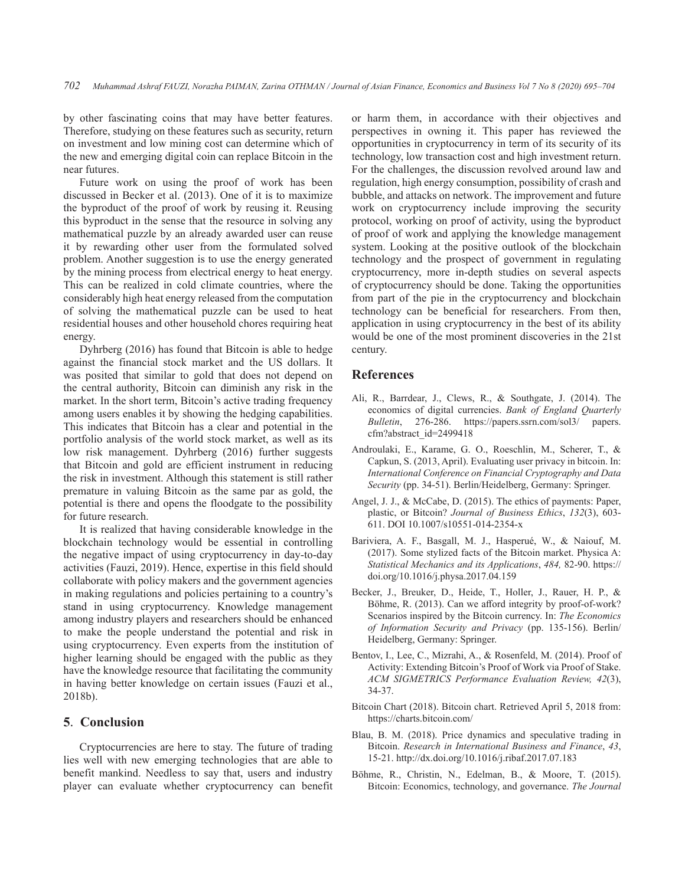by other fascinating coins that may have better features. Therefore, studying on these features such as security, return on investment and low mining cost can determine which of the new and emerging digital coin can replace Bitcoin in the near futures.

Future work on using the proof of work has been discussed in Becker et al. (2013). One of it is to maximize the byproduct of the proof of work by reusing it. Reusing this byproduct in the sense that the resource in solving any mathematical puzzle by an already awarded user can reuse it by rewarding other user from the formulated solved problem. Another suggestion is to use the energy generated by the mining process from electrical energy to heat energy. This can be realized in cold climate countries, where the considerably high heat energy released from the computation of solving the mathematical puzzle can be used to heat residential houses and other household chores requiring heat energy.

Dyhrberg (2016) has found that Bitcoin is able to hedge against the financial stock market and the US dollars. It was posited that similar to gold that does not depend on the central authority, Bitcoin can diminish any risk in the market. In the short term, Bitcoin's active trading frequency among users enables it by showing the hedging capabilities. This indicates that Bitcoin has a clear and potential in the portfolio analysis of the world stock market, as well as its low risk management. Dyhrberg (2016) further suggests that Bitcoin and gold are efficient instrument in reducing the risk in investment. Although this statement is still rather premature in valuing Bitcoin as the same par as gold, the potential is there and opens the floodgate to the possibility for future research.

It is realized that having considerable knowledge in the blockchain technology would be essential in controlling the negative impact of using cryptocurrency in day-to-day activities (Fauzi, 2019). Hence, expertise in this field should collaborate with policy makers and the government agencies in making regulations and policies pertaining to a country's stand in using cryptocurrency. Knowledge management among industry players and researchers should be enhanced to make the people understand the potential and risk in using cryptocurrency. Even experts from the institution of higher learning should be engaged with the public as they have the knowledge resource that facilitating the community in having better knowledge on certain issues (Fauzi et al., 2018b).

#### **5**. **Conclusion**

Cryptocurrencies are here to stay. The future of trading lies well with new emerging technologies that are able to benefit mankind. Needless to say that, users and industry player can evaluate whether cryptocurrency can benefit or harm them, in accordance with their objectives and perspectives in owning it. This paper has reviewed the opportunities in cryptocurrency in term of its security of its technology, low transaction cost and high investment return. For the challenges, the discussion revolved around law and regulation, high energy consumption, possibility of crash and bubble, and attacks on network. The improvement and future work on cryptocurrency include improving the security protocol, working on proof of activity, using the byproduct of proof of work and applying the knowledge management system. Looking at the positive outlook of the blockchain technology and the prospect of government in regulating cryptocurrency, more in-depth studies on several aspects of cryptocurrency should be done. Taking the opportunities from part of the pie in the cryptocurrency and blockchain technology can be beneficial for researchers. From then, application in using cryptocurrency in the best of its ability would be one of the most prominent discoveries in the 21st century.

# **References**

- Ali, R., Barrdear, J., Clews, R., & Southgate, J. (2014). The economics of digital currencies. *Bank of England Quarterly Bulletin*, 276-286. https://papers.ssrn.com/sol3/ papers. cfm?abstract\_id=2499418
- Androulaki, E., Karame, G. O., Roeschlin, M., Scherer, T., & Capkun, S. (2013, April). Evaluating user privacy in bitcoin. In: *International Conference on Financial Cryptography and Data Security* (pp. 34-51). Berlin/Heidelberg, Germany: Springer.
- Angel, J. J., & McCabe, D. (2015). The ethics of payments: Paper, plastic, or Bitcoin? *Journal of Business Ethics*, *132*(3), 603- 611. DOI 10.1007/s10551-014-2354-x
- Bariviera, A. F., Basgall, M. J., Hasperué, W., & Naiouf, M. (2017). Some stylized facts of the Bitcoin market. Physica A: *Statistical Mechanics and its Applications*, *484,* 82-90. https:// doi.org/10.1016/j.physa.2017.04.159
- Becker, J., Breuker, D., Heide, T., Holler, J., Rauer, H. P., & Böhme, R. (2013). Can we afford integrity by proof-of-work? Scenarios inspired by the Bitcoin currency. In: *The Economics of Information Security and Privacy* (pp. 135-156). Berlin/ Heidelberg, Germany: Springer.
- Bentov, I., Lee, C., Mizrahi, A., & Rosenfeld, M. (2014). Proof of Activity: Extending Bitcoin's Proof of Work via Proof of Stake. *ACM SIGMETRICS Performance Evaluation Review, 42*(3), 34-37.
- Bitcoin Chart (2018). Bitcoin chart. Retrieved April 5, 2018 from: https://charts.bitcoin.com/
- Blau, B. M. (2018). Price dynamics and speculative trading in Bitcoin. *Research in International Business and Finance*, *43*, 15-21. http://dx.doi.org/10.1016/j.ribaf.2017.07.183
- Böhme, R., Christin, N., Edelman, B., & Moore, T. (2015). Bitcoin: Economics, technology, and governance. *The Journal*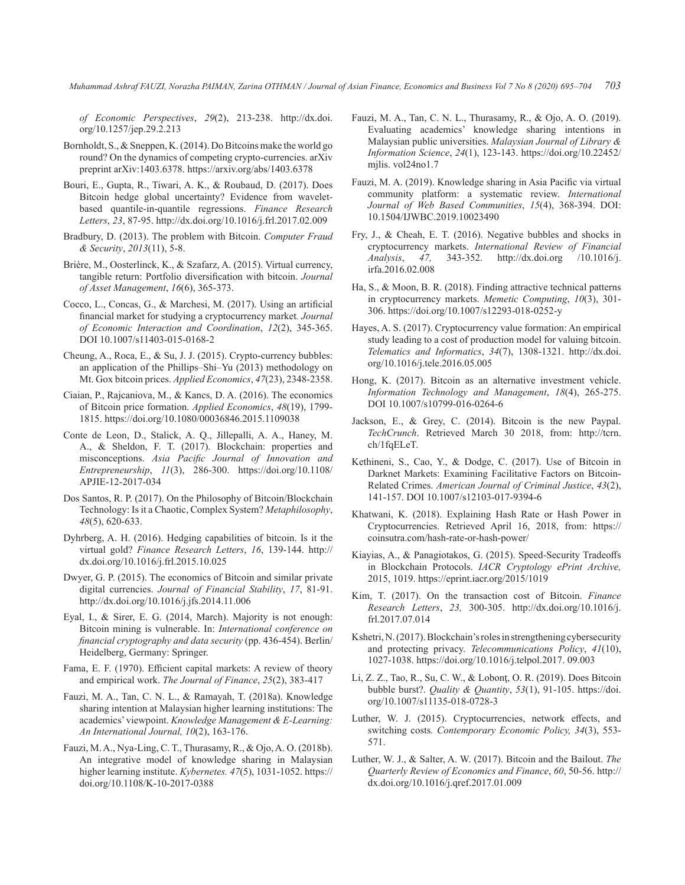*of Economic Perspectives*, *29*(2), 213-238. http://dx.doi. org/10.1257/jep.29.2.213

- Bornholdt, S., & Sneppen, K. (2014). Do Bitcoins make the world go round? On the dynamics of competing crypto-currencies. arXiv preprint arXiv:1403.6378. https://arxiv.org/abs/1403.6378
- Bouri, E., Gupta, R., Tiwari, A. K., & Roubaud, D. (2017). Does Bitcoin hedge global uncertainty? Evidence from waveletbased quantile-in-quantile regressions. *Finance Research Letters*, *23*, 87-95. http://dx.doi.org/10.1016/j.frl.2017.02.009
- Bradbury, D. (2013). The problem with Bitcoin. *Computer Fraud & Security*, *2013*(11), 5-8.
- Brière, M., Oosterlinck, K., & Szafarz, A. (2015). Virtual currency, tangible return: Portfolio diversification with bitcoin. *Journal of Asset Management*, *16*(6), 365-373.
- Cocco, L., Concas, G., & Marchesi, M. (2017). Using an artificial financial market for studying a cryptocurrency market*. Journal of Economic Interaction and Coordination*, *12*(2), 345-365. DOI 10.1007/s11403-015-0168-2
- Cheung, A., Roca, E., & Su, J. J. (2015). Crypto-currency bubbles: an application of the Phillips–Shi–Yu (2013) methodology on Mt. Gox bitcoin prices. *Applied Economics*, *47*(23), 2348-2358.
- Ciaian, P., Rajcaniova, M., & Kancs, D. A. (2016). The economics of Bitcoin price formation. *Applied Economics*, *48*(19), 1799- 1815. https://doi.org/10.1080/00036846.2015.1109038
- Conte de Leon, D., Stalick, A. Q., Jillepalli, A. A., Haney, M. A., & Sheldon, F. T. (2017). Blockchain: properties and misconceptions. *Asia Pacific Journal of Innovation and Entrepreneurship*, *11*(3), 286-300. https://doi.org/10.1108/ APJIE-12-2017-034
- Dos Santos, R. P. (2017). On the Philosophy of Bitcoin/Blockchain Technology: Is it a Chaotic, Complex System? *Metaphilosophy*, *48*(5), 620-633.
- Dyhrberg, A. H. (2016). Hedging capabilities of bitcoin. Is it the virtual gold? *Finance Research Letters*, *16*, 139-144. http:// dx.doi.org/10.1016/j.frl.2015.10.025
- Dwyer, G. P. (2015). The economics of Bitcoin and similar private digital currencies. *Journal of Financial Stability*, *17*, 81-91. http://dx.doi.org/10.1016/j.jfs.2014.11.006
- Eyal, I., & Sirer, E. G. (2014, March). Majority is not enough: Bitcoin mining is vulnerable. In: *International conference on financial cryptography and data security* (pp. 436-454). Berlin/ Heidelberg, Germany: Springer.
- Fama, E. F. (1970). Efficient capital markets: A review of theory and empirical work. *The Journal of Finance*, *25*(2), 383-417
- Fauzi, M. A., Tan, C. N. L., & Ramayah, T. (2018a). Knowledge sharing intention at Malaysian higher learning institutions: The academics' viewpoint. *Knowledge Management & E-Learning: An International Journal, 10*(2), 163-176.
- Fauzi, M. A., Nya-Ling, C. T., Thurasamy, R., & Ojo, A. O. (2018b). An integrative model of knowledge sharing in Malaysian higher learning institute. *Kybernetes. 47*(5), 1031-1052. https:// doi.org/10.1108/K-10-2017-0388
- Fauzi, M. A., Tan, C. N. L., Thurasamy, R., & Ojo, A. O. (2019). Evaluating academics' knowledge sharing intentions in Malaysian public universities. *Malaysian Journal of Library & Information Science*, *24*(1), 123-143. https://doi.org/10.22452/ mjlis. vol24no1.7
- Fauzi, M. A. (2019). Knowledge sharing in Asia Pacific via virtual community platform: a systematic review. *International Journal of Web Based Communities*, *15*(4), 368-394. DOI: 10.1504/IJWBC.2019.10023490
- Fry, J., & Cheah, E. T. (2016). Negative bubbles and shocks in cryptocurrency markets. *International Review of Financial Analysis*, *47,* 343-352. http://dx.doi.org /10.1016/j. irfa.2016.02.008
- Ha, S., & Moon, B. R. (2018). Finding attractive technical patterns in cryptocurrency markets. *Memetic Computing*, *10*(3), 301- 306. https://doi.org/10.1007/s12293-018-0252-y
- Hayes, A. S. (2017). Cryptocurrency value formation: An empirical study leading to a cost of production model for valuing bitcoin. *Telematics and Informatics*, *34*(7), 1308-1321. http://dx.doi. org/10.1016/j.tele.2016.05.005
- Hong, K. (2017). Bitcoin as an alternative investment vehicle. *Information Technology and Management*, *18*(4), 265-275. DOI 10.1007/s10799-016-0264-6
- Jackson, E., & Grey, C. (2014). Bitcoin is the new Paypal. *TechCrunch*. Retrieved March 30 2018, from: http://tcrn. ch/1fqELeT.
- Kethineni, S., Cao, Y., & Dodge, C. (2017). Use of Bitcoin in Darknet Markets: Examining Facilitative Factors on Bitcoin-Related Crimes. *American Journal of Criminal Justice*, *43*(2), 141-157. DOI 10.1007/s12103-017-9394-6
- Khatwani, K. (2018). Explaining Hash Rate or Hash Power in Cryptocurrencies. Retrieved April 16, 2018, from: https:// coinsutra.com/hash-rate-or-hash-power/
- Kiayias, A., & Panagiotakos, G. (2015). Speed-Security Tradeoffs in Blockchain Protocols. *IACR Cryptology ePrint Archive,*  2015, 1019. https://eprint.iacr.org/2015/1019
- Kim, T. (2017). On the transaction cost of Bitcoin. *Finance Research Letters*, *23,* 300-305. http://dx.doi.org/10.1016/j. frl.2017.07.014
- Kshetri, N. (2017). Blockchain's roles in strengthening cybersecurity and protecting privacy. *Telecommunications Policy*, *41*(10), 1027-1038. https://doi.org/10.1016/j.telpol.2017. 09.003
- Li, Z. Z., Tao, R., Su, C. W., & Lobonţ, O. R. (2019). Does Bitcoin bubble burst?. *Quality & Quantity*, *53*(1), 91-105. https://doi. org/10.1007/s11135-018-0728-3
- Luther, W. J. (2015). Cryptocurrencies, network effects, and switching costs*. Contemporary Economic Policy, 34*(3), 553- 571.
- Luther, W. J., & Salter, A. W. (2017). Bitcoin and the Bailout. *The Quarterly Review of Economics and Finance*, *60*, 50-56. http:// dx.doi.org/10.1016/j.qref.2017.01.009